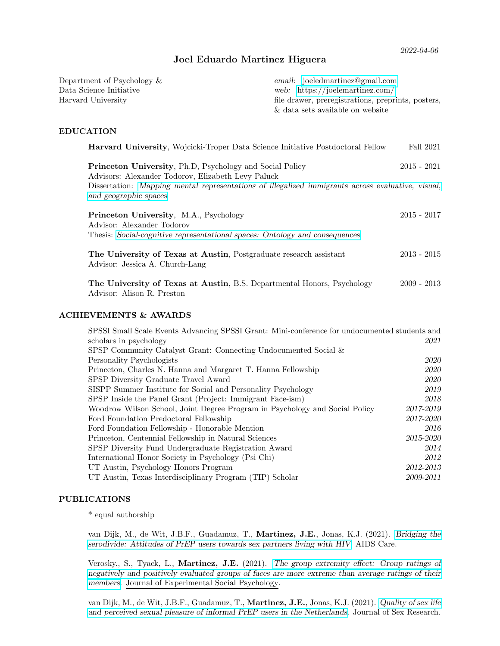# Joel Eduardo Martinez Higuera

Department of Psychology & Data Science Initiative Harvard University

email: [joeledmartinez@gmail.com](mailto:joeledmartinez@gmail.com) web: <https://joelemartinez.com/> file drawer, preregistrations, preprints, posters, & data sets available on website

# EDUCATION

| <b>Harvard University, Wojcicki-Troper Data Science Initiative Postdoctoral Fellow</b>                                                              | Fall 2021     |
|-----------------------------------------------------------------------------------------------------------------------------------------------------|---------------|
| <b>Princeton University, Ph.D.</b> Psychology and Social Policy<br>Advisors: Alexander Todorov, Elizabeth Levy Paluck                               | $2015 - 2021$ |
| Dissertation: Mapping mental representations of illegalized immigrants across evaluative, visual,<br>and geographic spaces                          |               |
| Princeton University, M.A., Psychology<br>Advisor: Alexander Todorov<br>Thesis: Social-cognitive representational spaces: Ontology and consequences | $2015 - 2017$ |
| The University of Texas at Austin, Postgraduate research assistant<br>Advisor: Jessica A. Church-Lang                                               | $2013 - 2015$ |
| The University of Texas at Austin, B.S. Departmental Honors, Psychology<br>Advisor: Alison R. Preston                                               | $2009 - 2013$ |

# ACHIEVEMENTS & AWARDS

| SPSSI Small Scale Events Advancing SPSSI Grant: Mini-conference for undocumented students and |           |
|-----------------------------------------------------------------------------------------------|-----------|
| scholars in psychology                                                                        | 2021      |
| SPSP Community Catalyst Grant: Connecting Undocumented Social &                               |           |
| Personality Psychologists                                                                     | 2020      |
| Princeton, Charles N. Hanna and Margaret T. Hanna Fellowship                                  | 2020      |
| SPSP Diversity Graduate Travel Award                                                          | 2020      |
| SISPP Summer Institute for Social and Personality Psychology                                  | 2019      |
| SPSP Inside the Panel Grant (Project: Immigrant Face-ism)                                     | 2018      |
| Woodrow Wilson School, Joint Degree Program in Psychology and Social Policy                   | 2017-2019 |
| Ford Foundation Predoctoral Fellowship                                                        | 2017-2020 |
| Ford Foundation Fellowship - Honorable Mention                                                | 2016      |
| Princeton, Centennial Fellowship in Natural Sciences                                          | 2015-2020 |
| SPSP Diversity Fund Undergraduate Registration Award                                          | 2014      |
| International Honor Society in Psychology (Psi Chi)                                           | 2012      |
| UT Austin, Psychology Honors Program                                                          | 2012-2013 |
| UT Austin, Texas Interdisciplinary Program (TIP) Scholar                                      | 2009-2011 |

# PUBLICATIONS

\* equal authorship

van Dijk, M., de Wit, J.B.F., Guadamuz, T., Martinez, J.E., Jonas, K.J. (2021). [Bridging the](https://socialbyselection.files.wordpress.com/2021/08/bridging-the-serodivide-attitudes-of-prep-users-towards-sex-partners-living-with-hiv.pdf) [serodivide: Attitudes of PrEP users towards sex partners living with HIV](https://socialbyselection.files.wordpress.com/2021/08/bridging-the-serodivide-attitudes-of-prep-users-towards-sex-partners-living-with-hiv.pdf). AIDS Care.

Verosky., S., Tyack, L., Martinez, J.E. (2021). [The group extremity effect: Group ratings of](https://socialbyselection.files.wordpress.com/2021/08/verosky_et_al-2021-the_group_extremity_effect.pdf) [negatively and positively evaluated groups of faces are more extreme than average ratings of their](https://socialbyselection.files.wordpress.com/2021/08/verosky_et_al-2021-the_group_extremity_effect.pdf) [members](https://socialbyselection.files.wordpress.com/2021/08/verosky_et_al-2021-the_group_extremity_effect.pdf). Journal of Experimental Social Psychology.

van Dijk, M., de Wit, J.B.F., Guadamuz, T., Martinez, J.E., Jonas, K.J. (2021). [Quality of sex life](https://socialbyselection.files.wordpress.com/2021/08/van-dijk-et-al.-2021-quality-of-sex-life-and-perceived-sexual-pleasure-.pdf) [and perceived sexual pleasure of informal PrEP users in the Netherlands](https://socialbyselection.files.wordpress.com/2021/08/van-dijk-et-al.-2021-quality-of-sex-life-and-perceived-sexual-pleasure-.pdf). Journal of Sex Research.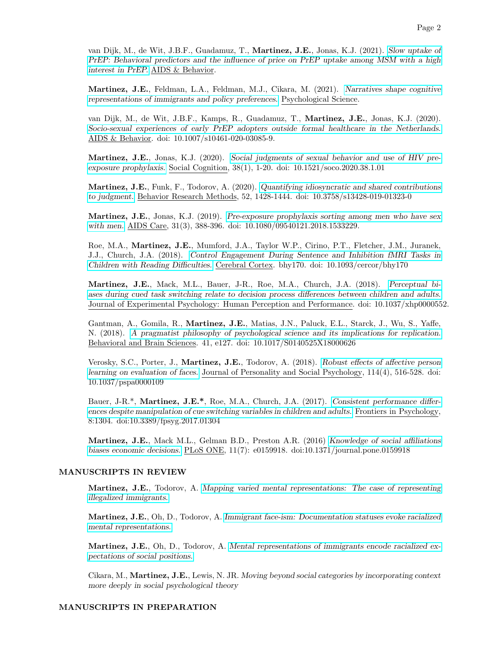van Dijk, M., de Wit, J.B.F., Guadamuz, T., Martinez, J.E., Jonas, K.J. (2021). [Slow uptake of](https://socialbyselection.files.wordpress.com/2021/02/dijk2021_article_slowuptakeofprepbehavioralpred.pdf) [PrEP: Behavioral predictors and the influence of price on PrEP uptake among MSM with a high](https://socialbyselection.files.wordpress.com/2021/02/dijk2021_article_slowuptakeofprepbehavioralpred.pdf) [interest in PrEP.](https://socialbyselection.files.wordpress.com/2021/02/dijk2021_article_slowuptakeofprepbehavioralpred.pdf) AIDS & Behavior.

Martinez, J.E., Feldman, L.A., Feldman, M.J., Cikara, M. (2021). [Narratives shape cognitive](https://socialbyselection.files.wordpress.com/2021/08/martinez_et_al_2021_narratives_shape_cognitive_representations_of_immigrants.pdf) [representations of immigrants and policy preferences.](https://socialbyselection.files.wordpress.com/2021/08/martinez_et_al_2021_narratives_shape_cognitive_representations_of_immigrants.pdf) Psychological Science.

van Dijk, M., de Wit, J.B.F., Kamps, R., Guadamuz, T., Martinez, J.E., Jonas, K.J. (2020). [Socio-sexual experiences of early PrEP adopters outside formal healthcare in the Netherlands.](https://socialbyselection.files.wordpress.com/2021/02/van_dijk_et_al_2020_socio-sexual_experiences_and_access_to_healthcare_among.pdf) AIDS & Behavior. doi: 10.1007/s10461-020-03085-9.

Martinez, J.E., Jonas, K.J. (2020). [Social judgments of sexual behavior and use of HIV pre](https://socialbyselection.files.wordpress.com/2021/02/martinez_jonas_social_judgments_of_sexual_behavior_and_use_of_hiv.pdf)[exposure prophylaxis.](https://socialbyselection.files.wordpress.com/2021/02/martinez_jonas_social_judgments_of_sexual_behavior_and_use_of_hiv.pdf) Social Cognition, 38(1), 1-20. doi: 10.1521/soco.2020.38.1.01

Martinez, J.E., Funk, F., Todorov, A. (2020). [Quantifying idiosyncratic and shared contributions](https://socialbyselection.files.wordpress.com/2021/02/martinez_et_al-2020-quantifying_idiosyncratic_and_shared_contributions_to-2.pdf) [to judgment.](https://socialbyselection.files.wordpress.com/2021/02/martinez_et_al-2020-quantifying_idiosyncratic_and_shared_contributions_to-2.pdf) Behavior Research Methods, 52, 1428-1444. doi: 10.3758/s13428-019-01323-0

Martinez, J.E., Jonas, K.J. (2019). [Pre-exposure prophylaxis sorting among men who have sex](https://socialbyselection.files.wordpress.com/2021/02/martinez_jonas-2019-pre-exposure_prophylaxis_sorting_among_men_who_have_sex.pdf) [with men.](https://socialbyselection.files.wordpress.com/2021/02/martinez_jonas-2019-pre-exposure_prophylaxis_sorting_among_men_who_have_sex.pdf) AIDS Care, 31(3), 388-396. doi: 10.1080/09540121.2018.1533229.

Roe, M.A., Martinez, J.E., Mumford, J.A., Taylor W.P., Cirino, P.T., Fletcher, J.M., Juranek, J.J., Church, J.A. (2018). [Control Engagement During Sentence and Inhibition fMRI Tasks in](https://academic.oup.com/cercor/article/28/10/3697/5060275?guestAccessKey=b6497feb-4757-40cd-9a72-c431c96e2181) [Children with Reading Difficulties.](https://academic.oup.com/cercor/article/28/10/3697/5060275?guestAccessKey=b6497feb-4757-40cd-9a72-c431c96e2181) Cerebral Cortex. bhy170. doi: 10.1093/cercor/bhy170

Martinez, J.E., Mack, M.L., Bauer, J-R., Roe, M.A., Church, J.A. (2018). [Perceptual bi](https://socialbyselection.files.wordpress.com/2021/02/martinez_et_al-2018-perceptual_biases_during_cued_task_switching_relate_to-1.pdf)[ases during cued task switching relate to decision process differences between children and adults.](https://socialbyselection.files.wordpress.com/2021/02/martinez_et_al-2018-perceptual_biases_during_cued_task_switching_relate_to-1.pdf) Journal of Experimental Psychology: Human Perception and Performance. doi: 10.1037/xhp0000552.

Gantman, A., Gomila, R., Martinez, J.E., Matias, J.N., Paluck, E.L., Starck, J., Wu, S., Yaffe, N. (2018). [A pragmatist philosophy of psychological science and its implications for replication.](http://www.betsylevypaluck.com/s/BBS-Zwaan-Commentary.docx) Behavioral and Brain Sciences. 41, e127. doi: 10.1017/S0140525X18000626

Verosky, S.C., Porter, J., Martinez, J.E., Todorov, A. (2018). [Robust effects of affective person](https://socialbyselection.files.wordpress.com/2021/02/verosky_et_al-2018-robust_effects_of_affective_person_learning_on_evaluation.pdf) [learning on evaluation of faces.](https://socialbyselection.files.wordpress.com/2021/02/verosky_et_al-2018-robust_effects_of_affective_person_learning_on_evaluation.pdf) Journal of Personality and Social Psychology, 114(4), 516-528. doi: 10.1037/pspa0000109

Bauer, J-R.\*, Martinez, J.E.\*, Roe, M.A., Church, J.A. (2017). [Consistent performance differ](https://www.frontiersin.org/articles/10.3389/fpsyg.2017.01304/full)[ences despite manipulation of cue switching variables in children and adults.](https://www.frontiersin.org/articles/10.3389/fpsyg.2017.01304/full) Frontiers in Psychology, 8:1304. doi:10.3389/fpsyg.2017.01304

Martinez, J.E., Mack M.L., Gelman B.D., Preston A.R. (2016) [Knowledge of social affiliations](https://doi.org/10.1371/journal.pone.0159918) [biases economic decisions.](https://doi.org/10.1371/journal.pone.0159918) PLoS ONE, 11(7): e0159918. doi:10.1371/journal.pone.0159918

#### MANUSCRIPTS IN REVIEW

Martinez, J.E., Todorov, A. [Mapping varied mental representations: The case of representing](https://psyarxiv.com/gc9rq) [illegalized immigrants.](https://psyarxiv.com/gc9rq)

Martinez, J.E., Oh, D., Todorov, A. [Immigrant face-ism: Documentation statuses evoke racialized](https://psyarxiv.com/xb62n) [mental representations.](https://psyarxiv.com/xb62n)

Martinez, J.E., Oh, D., Todorov, A. [Mental representations of immigrants encode racialized ex](https://psyarxiv.com/cvhze)[pectations of social positions.](https://psyarxiv.com/cvhze)

Cikara, M., Martinez, J.E., Lewis, N. JR. Moving beyond social categories by incorporating context more deeply in social psychological theory

#### MANUSCRIPTS IN PREPARATION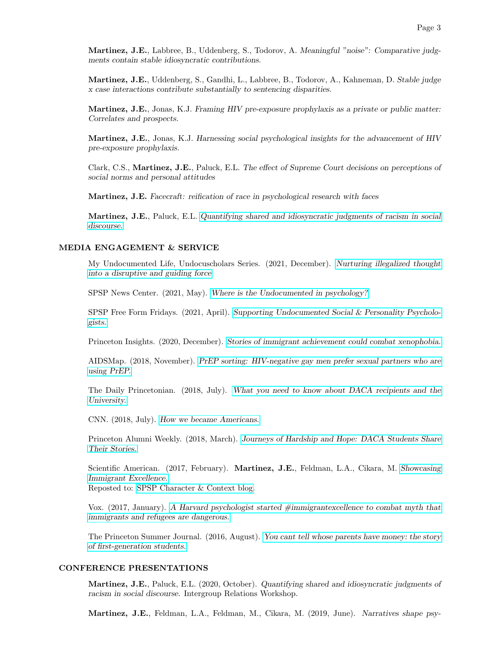Martinez, J.E., Labbree, B., Uddenberg, S., Todorov, A. Meaningful "noise": Comparative judgments contain stable idiosyncratic contributions.

Martinez, J.E., Uddenberg, S., Gandhi, L., Labbree, B., Todorov, A., Kahneman, D. Stable judge x case interactions contribute substantially to sentencing disparities.

Martinez, J.E., Jonas, K.J. Framing HIV pre-exposure prophylaxis as a private or public matter: Correlates and prospects.

Martinez, J.E., Jonas, K.J. Harnessing social psychological insights for the advancement of HIV pre-exposure prophylaxis.

Clark, C.S., Martinez, J.E., Paluck, E.L. The effect of Supreme Court decisions on perceptions of social norms and personal attitudes

Martinez, J.E. Facecraft: reification of race in psychological research with faces

Martinez, J.E., Paluck, E.L. [Quantifying shared and idiosyncratic judgments of racism in social](https://psyarxiv.com/kfpjg) [discourse.](https://psyarxiv.com/kfpjg)

# MEDIA ENGAGEMENT & SERVICE

My Undocumented Life, Undocuscholars Series. (2021, December). [Nurturing illegalized thought](https://mydocumentedlife.org/2021/12/14/nurturing-illegalized-thought-into-a-disruptive-and-guiding-force/) [into a disruptive and guiding force](https://mydocumentedlife.org/2021/12/14/nurturing-illegalized-thought-into-a-disruptive-and-guiding-force/)

SPSP News Center. (2021, May). [Where is the Undocumented in psychology?](https://www.spsp.org/news-center/announcements/connecting-undocumented-social-personality-psychologists)

SPSP Free Form Fridays. (2021, April). [Supporting Undocumented Social & Personality Psycholo](https://princeton.zoom.us/rec/play/D0kU-KtcPiGL05kVsdz1x_H3CG7vXmdM4-EWeA7I_68e5slvSF1gsKkAZPGzD0wbDPOr0t7zm43_oNvU.pa51uIiN1q3iOkNU?startTime=1619793729000&_x_zm_rtaid=TWR4j3IiQdepiQaxgurQ7A.1621477080215.b1d1fc0934fca739cf843cacda80e69f&_x_zm_rhtaid=238)[gists.](https://princeton.zoom.us/rec/play/D0kU-KtcPiGL05kVsdz1x_H3CG7vXmdM4-EWeA7I_68e5slvSF1gsKkAZPGzD0wbDPOr0t7zm43_oNvU.pa51uIiN1q3iOkNU?startTime=1619793729000&_x_zm_rtaid=TWR4j3IiQdepiQaxgurQ7A.1621477080215.b1d1fc0934fca739cf843cacda80e69f&_x_zm_rhtaid=238)

Princeton Insights. (2020, December). [Stories of immigrant achievement could combat xenophobia.](https://insights.princeton.edu/2020/12/immigrant-achievement/)

AIDSMap. (2018, November). [PrEP sorting: HIV-negative gay men prefer sexual partners who are](http://www.aidsmap.com/PrEP-sorting-HIV-negative-gay-men-prefer-sexual-partners-who-are-using-PrEP/page/3362563/) [using PrEP.](http://www.aidsmap.com/PrEP-sorting-HIV-negative-gay-men-prefer-sexual-partners-who-are-using-PrEP/page/3362563/)

The Daily Princetonian. (2018, July). [What you need to know about DACA recipients and the](http://www.dailyprincetonian.com/article/2018/07/what-you-need-to-know-about-daca-recipients-and-the-university) [University.](http://www.dailyprincetonian.com/article/2018/07/what-you-need-to-know-about-daca-recipients-and-the-university)

CNN. (2018, July). [How we became Americans.](https://www.cnn.com/2018/07/04/opinions/how-we-became-americans/index.html?no-st=1531276979)

Princeton Alumni Weekly. (2018, March). [Journeys of Hardship and Hope: DACA Students Share](https://paw.princeton.edu/article/journeys-hardship-and-hope-daca-students-share-their-stories) [Their Stories.](https://paw.princeton.edu/article/journeys-hardship-and-hope-daca-students-share-their-stories)

Scientific American. (2017, February). Martinez, J.E., Feldman, L.A., Cikara, M. [Showcasing](https://blogs.scientificamerican.com/guest-blog/showcasing-immigrant-excellence/) [Immigrant Excellence.](https://blogs.scientificamerican.com/guest-blog/showcasing-immigrant-excellence/) Reposted to: [SPSP Character & Context blog.](http://spsp.org/news-center/blog/showcasing-immigrant-excellence)

Vox. (2017, January). [A Harvard psychologist started #immigrantexcellence to combat myth that](http://www.vox.com/2017/1/28/14424886/immigrantexcellence-stories-twitter) [immigrants and refugees are dangerous.](http://www.vox.com/2017/1/28/14424886/immigrantexcellence-stories-twitter)

The Princeton Summer Journal. (2016, August). [You cant tell whose parents have money: the story](https://princetonsummerjournal.com/2016/08/16/you-cant-tell-whose-parents-have-money-the-story-of-first-generation-students/) [of first-generation students.](https://princetonsummerjournal.com/2016/08/16/you-cant-tell-whose-parents-have-money-the-story-of-first-generation-students/)

#### CONFERENCE PRESENTATIONS

Martinez, J.E., Paluck, E.L. (2020, October). Quantifying shared and idiosyncratic judgments of racism in social discourse. Intergroup Relations Workshop.

Martinez, J.E., Feldman, L.A., Feldman, M., Cikara, M. (2019, June). Narratives shape psy-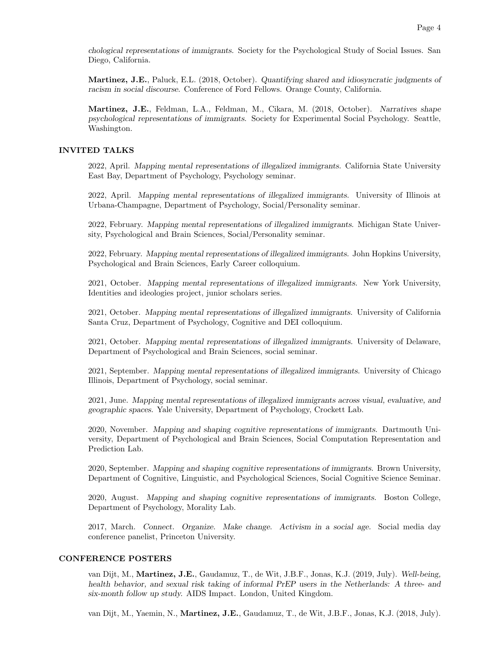chological representations of immigrants. Society for the Psychological Study of Social Issues. San Diego, California.

Martinez, J.E., Paluck, E.L. (2018, October). Quantifying shared and idiosyncratic judgments of racism in social discourse. Conference of Ford Fellows. Orange County, California.

Martinez, J.E., Feldman, L.A., Feldman, M., Cikara, M. (2018, October). Narratives shape psychological representations of immigrants. Society for Experimental Social Psychology. Seattle, Washington.

### INVITED TALKS

2022, April. Mapping mental representations of illegalized immigrants. California State University East Bay, Department of Psychology, Psychology seminar.

2022, April. Mapping mental representations of illegalized immigrants. University of Illinois at Urbana-Champagne, Department of Psychology, Social/Personality seminar.

2022, February. Mapping mental representations of illegalized immigrants. Michigan State University, Psychological and Brain Sciences, Social/Personality seminar.

2022, February. Mapping mental representations of illegalized immigrants. John Hopkins University, Psychological and Brain Sciences, Early Career colloquium.

2021, October. Mapping mental representations of illegalized immigrants. New York University, Identities and ideologies project, junior scholars series.

2021, October. Mapping mental representations of illegalized immigrants. University of California Santa Cruz, Department of Psychology, Cognitive and DEI colloquium.

2021, October. Mapping mental representations of illegalized immigrants. University of Delaware, Department of Psychological and Brain Sciences, social seminar.

2021, September. Mapping mental representations of illegalized immigrants. University of Chicago Illinois, Department of Psychology, social seminar.

2021, June. Mapping mental representations of illegalized immigrants across visual, evaluative, and geographic spaces. Yale University, Department of Psychology, Crockett Lab.

2020, November. Mapping and shaping cognitive representations of immigrants. Dartmouth University, Department of Psychological and Brain Sciences, Social Computation Representation and Prediction Lab.

2020, September. Mapping and shaping cognitive representations of immigrants. Brown University, Department of Cognitive, Linguistic, and Psychological Sciences, Social Cognitive Science Seminar.

2020, August. Mapping and shaping cognitive representations of immigrants. Boston College, Department of Psychology, Morality Lab.

2017, March. Connect. Organize. Make change. Activism in a social age. Social media day conference panelist, Princeton University.

# CONFERENCE POSTERS

van Dijt, M., Martinez, J.E., Gaudamuz, T., de Wit, J.B.F., Jonas, K.J. (2019, July). Well-being, health behavior, and sexual risk taking of informal PrEP users in the Netherlands: A three- and six-month follow up study. AIDS Impact. London, United Kingdom.

van Dijt, M., Yaemin, N., Martinez, J.E., Gaudamuz, T., de Wit, J.B.F., Jonas, K.J. (2018, July).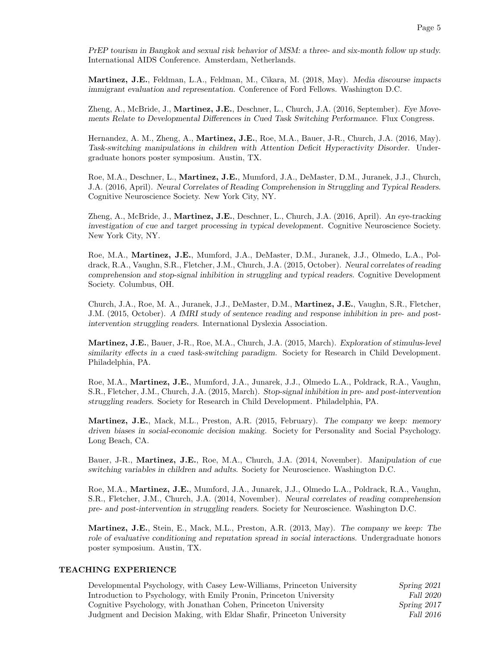PrEP tourism in Bangkok and sexual risk behavior of MSM: a three- and six-month follow up study. International AIDS Conference. Amsterdam, Netherlands.

Martinez, J.E., Feldman, L.A., Feldman, M., Cikara, M. (2018, May). Media discourse impacts immigrant evaluation and representation. Conference of Ford Fellows. Washington D.C.

Zheng, A., McBride, J., Martinez, J.E., Deschner, L., Church, J.A. (2016, September). Eye Movements Relate to Developmental Differences in Cued Task Switching Performance. Flux Congress.

Hernandez, A. M., Zheng, A., Martinez, J.E., Roe, M.A., Bauer, J-R., Church, J.A. (2016, May). Task-switching manipulations in children with Attention Deficit Hyperactivity Disorder. Undergraduate honors poster symposium. Austin, TX.

Roe, M.A., Deschner, L., Martinez, J.E., Mumford, J.A., DeMaster, D.M., Juranek, J.J., Church, J.A. (2016, April). Neural Correlates of Reading Comprehension in Struggling and Typical Readers. Cognitive Neuroscience Society. New York City, NY.

Zheng, A., McBride, J., Martinez, J.E., Deschner, L., Church, J.A. (2016, April). An eye-tracking investigation of cue and target processing in typical development. Cognitive Neuroscience Society. New York City, NY.

Roe, M.A., Martinez, J.E., Mumford, J.A., DeMaster, D.M., Juranek, J.J., Olmedo, L.A., Poldrack, R.A., Vaughn, S.R., Fletcher, J.M., Church, J.A. (2015, October). Neural correlates of reading comprehension and stop-signal inhibition in struggling and typical readers. Cognitive Development Society. Columbus, OH.

Church, J.A., Roe, M. A., Juranek, J.J., DeMaster, D.M., Martinez, J.E., Vaughn, S.R., Fletcher, J.M. (2015, October). A fMRI study of sentence reading and response inhibition in pre- and postintervention struggling readers. International Dyslexia Association.

Martinez, J.E., Bauer, J-R., Roe, M.A., Church, J.A. (2015, March). Exploration of stimulus-level similarity effects in a cued task-switching paradigm. Society for Research in Child Development. Philadelphia, PA.

Roe, M.A., Martinez, J.E., Mumford, J.A., Junarek, J.J., Olmedo L.A., Poldrack, R.A., Vaughn, S.R., Fletcher, J.M., Church, J.A. (2015, March). Stop-signal inhibition in pre- and post-intervention struggling readers. Society for Research in Child Development. Philadelphia, PA.

Martinez, J.E., Mack, M.L., Preston, A.R. (2015, February). The company we keep: memory driven biases in social-economic decision making. Society for Personality and Social Psychology. Long Beach, CA.

Bauer, J-R., **Martinez, J.E.**, Roe, M.A., Church, J.A. (2014, November). Manipulation of cue switching variables in children and adults. Society for Neuroscience. Washington D.C.

Roe, M.A., Martinez, J.E., Mumford, J.A., Junarek, J.J., Olmedo L.A., Poldrack, R.A., Vaughn, S.R., Fletcher, J.M., Church, J.A. (2014, November). Neural correlates of reading comprehension pre- and post-intervention in struggling readers. Society for Neuroscience. Washington D.C.

Martinez, J.E., Stein, E., Mack, M.L., Preston, A.R. (2013, May). The company we keep: The role of evaluative conditioning and reputation spread in social interactions. Undergraduate honors poster symposium. Austin, TX.

#### TEACHING EXPERIENCE

| Developmental Psychology, with Casey Lew-Williams, Princeton University | Spring 2021 |
|-------------------------------------------------------------------------|-------------|
| Introduction to Psychology, with Emily Pronin, Princeton University     | Fall 2020   |
| Cognitive Psychology, with Jonathan Cohen, Princeton University         | Spring 2017 |
| Judgment and Decision Making, with Eldar Shafir, Princeton University   | Fall 2016   |